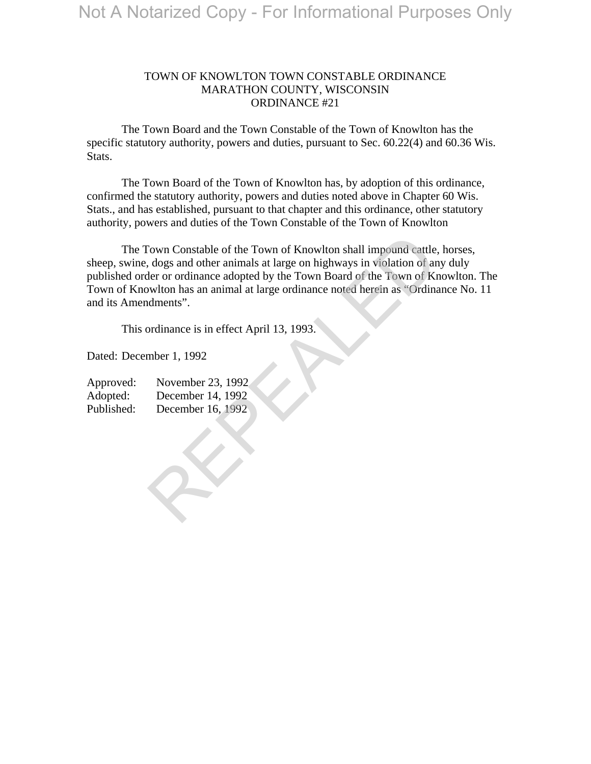## TOWN OF KNOWLTON TOWN CONSTABLE ORDINANCE MARATHON COUNTY, WISCONSIN ORDINANCE #21

 The Town Board and the Town Constable of the Town of Knowlton has the specific statutory authority, powers and duties, pursuant to Sec. 60.22(4) and 60.36 Wis. Stats.

 The Town Board of the Town of Knowlton has, by adoption of this ordinance, confirmed the statutory authority, powers and duties noted above in Chapter 60 Wis. Stats., and has established, pursuant to that chapter and this ordinance, other statutory authority, powers and duties of the Town Constable of the Town of Knowlton

 The Town Constable of the Town of Knowlton shall impound cattle, horses, sheep, swine, dogs and other animals at large on highways in violation of any duly published order or ordinance adopted by the Town Board of the Town of Knowlton. The Town of Knowlton has an animal at large ordinance noted herein as "Ordinance No. 11 and its Amendments". Frame Constable of the Town of Knowlton shall impound cattle, dogs and other animals at large on highways in violation of area for ordinance adopted by the Town Board of the Town of Knowlton has an animal at large ordinanc

This ordinance is in effect April 13, 1993.

Dated: December 1, 1992

| Approved:  | November 23, 1992 |
|------------|-------------------|
| Adopted:   | December 14, 1992 |
| Published: | December 16, 1992 |